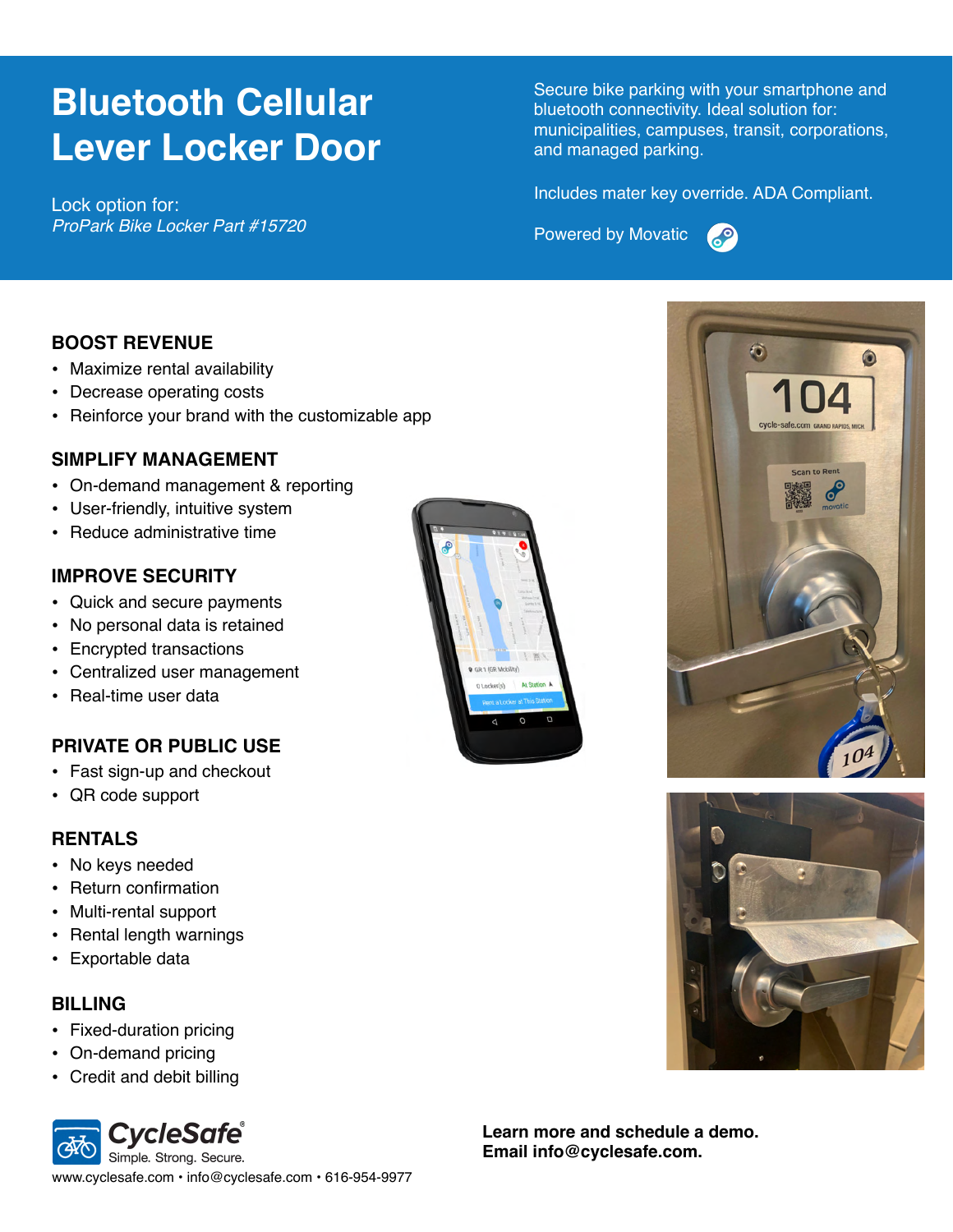# **Bluetooth Cellular Lever Locker Door**

Lock option for: *ProPark Bike Locker Part #15720* Secure bike parking with your smartphone and bluetooth connectivity. Ideal solution for: municipalities, campuses, transit, corporations, and managed parking.

Includes mater key override. ADA Compliant.

**Powered by Movatic** 



## **BOOST REVENUE**

- Maximize rental availability
- Decrease operating costs
- Reinforce your brand with the customizable app

## **SIMPLIFY MANAGEMENT**

- On-demand management & reporting
- User-friendly, intuitive system
- Reduce administrative time

## **IMPROVE SECURITY**

- Quick and secure payments
- No personal data is retained
- Encrypted transactions
- Centralized user management
- Real-time user data

## **PRIVATE OR PUBLIC USE**

- Fast sign-up and checkout
- QR code support

#### **RENTALS**

- No keys needed
- Return confirmation
- Multi-rental support
- Rental length warnings
- Exportable data

#### **BILLING**

- Fixed-duration pricing
- On-demand pricing
- Credit and debit billing









**Learn more and schedule a demo. Email info@cyclesafe.com.**